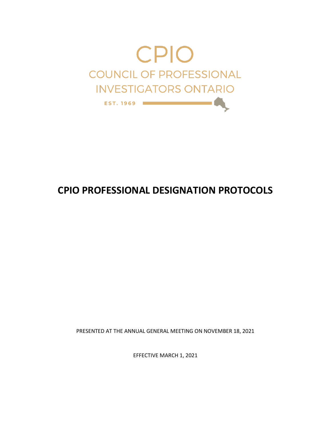

PRESENTED AT THE ANNUAL GENERAL MEETING ON NOVEMBER 18, 2021

EFFECTIVE MARCH 1, 2021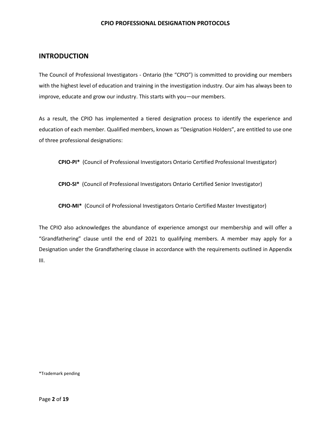### **INTRODUCTION**

The Council of Professional Investigators - Ontario (the "CPIO") is committed to providing our members with the highest level of education and training in the investigation industry. Our aim has always been to improve, educate and grow our industry. This starts with you—our members.

As a result, the CPIO has implemented a tiered designation process to identify the experience and education of each member. Qualified members, known as "Designation Holders", are entitled to use one of three professional designations:

**CPIO-PI\*** (Council of Professional Investigators Ontario Certified Professional Investigator)

**CPIO-SI\*** (Council of Professional Investigators Ontario Certified Senior Investigator)

**CPIO-MI\*** (Council of Professional Investigators Ontario Certified Master Investigator)

The CPIO also acknowledges the abundance of experience amongst our membership and will offer a "Grandfathering" clause until the end of 2021 to qualifying members. A member may apply for a Designation under the Grandfathering clause in accordance with the requirements outlined in Appendix III.

\*Trademark pending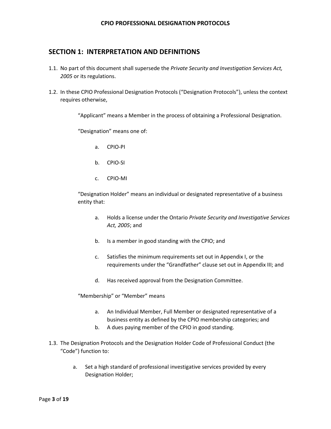## **SECTION 1: INTERPRETATION AND DEFINITIONS**

- 1.1. No part of this document shall supersede the *Private Security and Investigation Services Act, 2005* or its regulations.
- 1.2. In these CPIO Professional Designation Protocols ("Designation Protocols"), unless the context requires otherwise,

"Applicant" means a Member in the process of obtaining a Professional Designation.

"Designation" means one of:

- a. CPIO-PI
- b. CPIO-SI
- c. CPIO-MI

"Designation Holder" means an individual or designated representative of a business entity that:

- a. Holds a license under the Ontario *Private Security and Investigative Services Act, 2005*; and
- b. Is a member in good standing with the CPIO; and
- c. Satisfies the minimum requirements set out in Appendix I, or the requirements under the "Grandfather" clause set out in Appendix III; and
- d. Has received approval from the Designation Committee.

"Membership" or "Member" means

- a. An Individual Member, Full Member or designated representative of a business entity as defined by the CPIO membership categories; and
- b. A dues paying member of the CPIO in good standing.
- 1.3. The Designation Protocols and the Designation Holder Code of Professional Conduct (the "Code") function to:
	- a. Set a high standard of professional investigative services provided by every Designation Holder;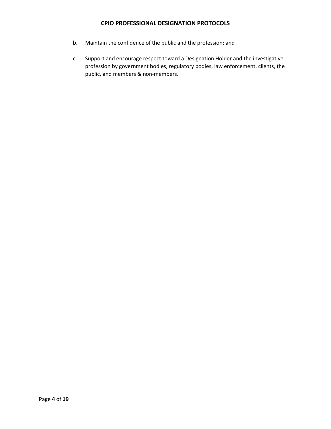- b. Maintain the confidence of the public and the profession; and
- c. Support and encourage respect toward a Designation Holder and the investigative profession by government bodies, regulatory bodies, law enforcement, clients, the public, and members & non-members.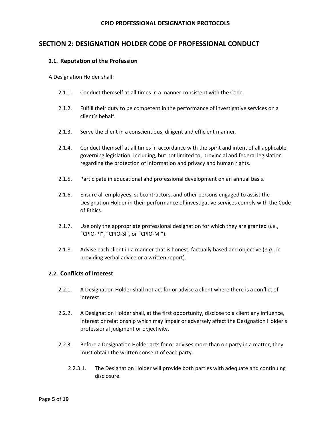# **SECTION 2: DESIGNATION HOLDER CODE OF PROFESSIONAL CONDUCT**

### **2.1. Reputation of the Profession**

A Designation Holder shall:

- 2.1.1. Conduct themself at all times in a manner consistent with the Code.
- 2.1.2. Fulfill their duty to be competent in the performance of investigative services on a client's behalf.
- 2.1.3. Serve the client in a conscientious, diligent and efficient manner.
- 2.1.4. Conduct themself at all times in accordance with the spirit and intent of all applicable governing legislation, including, but not limited to, provincial and federal legislation regarding the protection of information and privacy and human rights.
- 2.1.5. Participate in educational and professional development on an annual basis.
- 2.1.6. Ensure all employees, subcontractors, and other persons engaged to assist the Designation Holder in their performance of investigative services comply with the Code of Ethics.
- 2.1.7. Use only the appropriate professional designation for which they are granted (*i.e.*, "CPIO-PI", "CPIO-SI", or "CPIO-MI").
- 2.1.8. Advise each client in a manner that is honest, factually based and objective (*e.g.*, in providing verbal advice or a written report).

### **2.2. Conflicts of Interest**

- 2.2.1. A Designation Holder shall not act for or advise a client where there is a conflict of interest.
- 2.2.2. A Designation Holder shall, at the first opportunity, disclose to a client any influence, interest or relationship which may impair or adversely affect the Designation Holder's professional judgment or objectivity.
- 2.2.3. Before a Designation Holder acts for or advises more than on party in a matter, they must obtain the written consent of each party.
	- 2.2.3.1. The Designation Holder will provide both parties with adequate and continuing disclosure.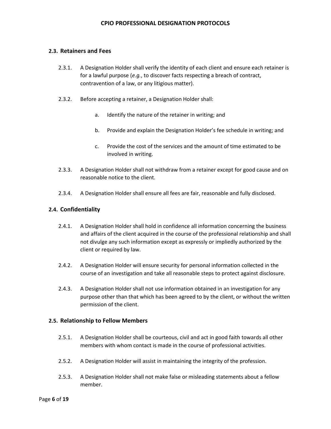### **2.3. Retainers and Fees**

- 2.3.1. A Designation Holder shall verify the identity of each client and ensure each retainer is for a lawful purpose (*e.g.*, to discover facts respecting a breach of contract, contravention of a law, or any litigious matter).
- 2.3.2. Before accepting a retainer, a Designation Holder shall:
	- a. Identify the nature of the retainer in writing; and
	- b. Provide and explain the Designation Holder's fee schedule in writing; and
	- c. Provide the cost of the services and the amount of time estimated to be involved in writing.
- 2.3.3. A Designation Holder shall not withdraw from a retainer except for good cause and on reasonable notice to the client.
- 2.3.4. A Designation Holder shall ensure all fees are fair, reasonable and fully disclosed.

### **2.4. Confidentiality**

- 2.4.1. A Designation Holder shall hold in confidence all information concerning the business and affairs of the client acquired in the course of the professional relationship and shall not divulge any such information except as expressly or impliedly authorized by the client or required by law.
- 2.4.2. A Designation Holder will ensure security for personal information collected in the course of an investigation and take all reasonable steps to protect against disclosure.
- 2.4.3. A Designation Holder shall not use information obtained in an investigation for any purpose other than that which has been agreed to by the client, or without the written permission of the client.

### **2.5. Relationship to Fellow Members**

- 2.5.1. A Designation Holder shall be courteous, civil and act in good faith towards all other members with whom contact is made in the course of professional activities.
- 2.5.2. A Designation Holder will assist in maintaining the integrity of the profession.
- 2.5.3. A Designation Holder shall not make false or misleading statements about a fellow member.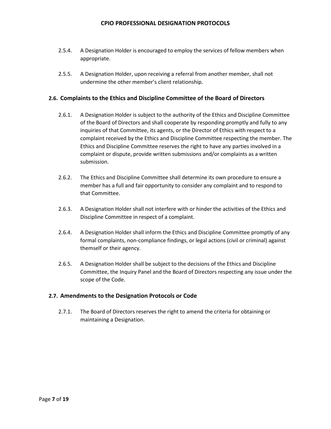- 2.5.4. A Designation Holder is encouraged to employ the services of fellow members when appropriate.
- 2.5.5. A Designation Holder, upon receiving a referral from another member, shall not undermine the other member's client relationship.

### **2.6. Complaints to the Ethics and Discipline Committee of the Board of Directors**

- 2.6.1. A Designation Holder is subject to the authority of the Ethics and Discipline Committee of the Board of Directors and shall cooperate by responding promptly and fully to any inquiries of that Committee, its agents, or the Director of Ethics with respect to a complaint received by the Ethics and Discipline Committee respecting the member. The Ethics and Discipline Committee reserves the right to have any parties involved in a complaint or dispute, provide written submissions and/or complaints as a written submission.
- 2.6.2. The Ethics and Discipline Committee shall determine its own procedure to ensure a member has a full and fair opportunity to consider any complaint and to respond to that Committee.
- 2.6.3. A Designation Holder shall not interfere with or hinder the activities of the Ethics and Discipline Committee in respect of a complaint.
- 2.6.4. A Designation Holder shall inform the Ethics and Discipline Committee promptly of any formal complaints, non-compliance findings, or legal actions (civil or criminal) against themself or their agency.
- 2.6.5. A Designation Holder shall be subject to the decisions of the Ethics and Discipline Committee, the Inquiry Panel and the Board of Directors respecting any issue under the scope of the Code.

### **2.7. Amendments to the Designation Protocols or Code**

2.7.1. The Board of Directors reserves the right to amend the criteria for obtaining or maintaining a Designation.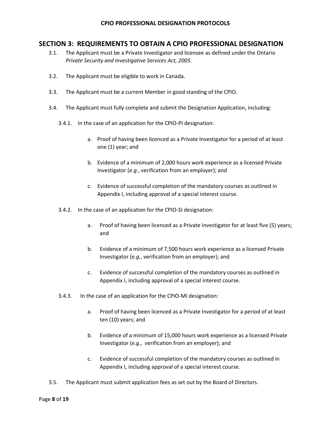## **SECTION 3: REQUIREMENTS TO OBTAIN A CPIO PROFESSIONAL DESIGNATION**

- 3.1. The Applicant must be a Private Investigator and licensee as defined under the Ontario *Private Security and Investigative Services Act, 2005*.
- 3.2. The Applicant must be eligible to work in Canada.
- 3.3. The Applicant must be a current Member in good standing of the CPIO.
- 3.4. The Applicant must fully complete and submit the Designation Application, including:
	- 3.4.1. In the case of an application for the CPIO-PI designation:
		- a. Proof of having been licenced as a Private Investigator for a period of at least one (1) year; and
		- b. Evidence of a minimum of 2,000 hours work experience as a licensed Private Investigator (*e.g.*, verification from an employer); and
		- c. Evidence of successful completion of the mandatory courses as outlined in Appendix I, including approval of a special interest course.
	- 3.4.2. In the case of an application for the CPIO-SI designation:
		- a. Proof of having been licenced as a Private Investigator for at least five (5) years; and
		- b. Evidence of a minimum of 7,500 hours work experience as a licensed Private Investigator (*e.g.*, verification from an employer); and
		- c. Evidence of successful completion of the mandatory courses as outlined in Appendix I, including approval of a special interest course.
	- 3.4.3. In the case of an application for the CPIO-MI designation:
		- a. Proof of having been licenced as a Private Investigator for a period of at least ten (10) years; and
		- b. Evidence of a minimum of 15,000 hours work experience as a licensed Private Investigator (*e.g.*, verification from an employer); and
		- c. Evidence of successful completion of the mandatory courses as outlined in Appendix I, including approval of a special interest course.
- 3.5. The Applicant must submit application fees as set out by the Board of Directors.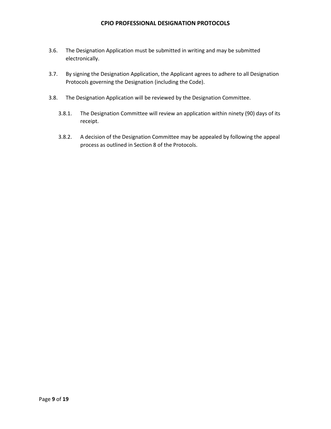- 3.6. The Designation Application must be submitted in writing and may be submitted electronically.
- 3.7. By signing the Designation Application, the Applicant agrees to adhere to all Designation Protocols governing the Designation (including the Code).
- 3.8. The Designation Application will be reviewed by the Designation Committee.
	- 3.8.1. The Designation Committee will review an application within ninety (90) days of its receipt.
	- 3.8.2. A decision of the Designation Committee may be appealed by following the appeal process as outlined in Section 8 of the Protocols.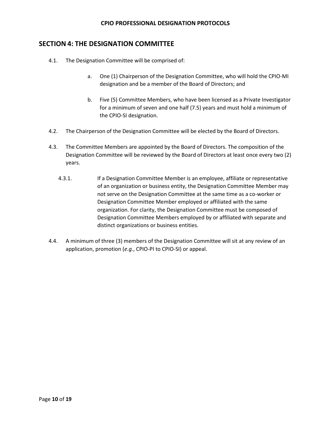## **SECTION 4: THE DESIGNATION COMMITTEE**

- 4.1. The Designation Committee will be comprised of:
	- a. One (1) Chairperson of the Designation Committee, who will hold the CPIO-MI designation and be a member of the Board of Directors; and
	- b. Five (5) Committee Members, who have been licensed as a Private Investigator for a minimum of seven and one half (7.5) years and must hold a minimum of the CPIO-SI designation.
- 4.2. The Chairperson of the Designation Committee will be elected by the Board of Directors.
- 4.3. The Committee Members are appointed by the Board of Directors. The composition of the Designation Committee will be reviewed by the Board of Directors at least once every two (2) years.
	- 4.3.1. If a Designation Committee Member is an employee, affiliate or representative of an organization or business entity, the Designation Committee Member may not serve on the Designation Committee at the same time as a co-worker or Designation Committee Member employed or affiliated with the same organization. For clarity, the Designation Committee must be composed of Designation Committee Members employed by or affiliated with separate and distinct organizations or business entities.
- 4.4. A minimum of three (3) members of the Designation Committee will sit at any review of an application, promotion (*e.g.*, CPIO-PI to CPIO-SI) or appeal.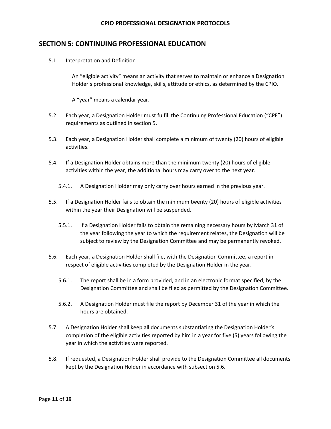## **SECTION 5: CONTINUING PROFESSIONAL EDUCATION**

5.1. Interpretation and Definition

An "eligible activity" means an activity that serves to maintain or enhance a Designation Holder's professional knowledge, skills, attitude or ethics, as determined by the CPIO.

A "year" means a calendar year.

- 5.2. Each year, a Designation Holder must fulfill the Continuing Professional Education ("CPE") requirements as outlined in section 5.
- 5.3. Each year, a Designation Holder shall complete a minimum of twenty (20) hours of eligible activities.
- 5.4. If a Designation Holder obtains more than the minimum twenty (20) hours of eligible activities within the year, the additional hours may carry over to the next year.
	- 5.4.1. A Designation Holder may only carry over hours earned in the previous year.
- 5.5. If a Designation Holder fails to obtain the minimum twenty (20) hours of eligible activities within the year their Designation will be suspended.
	- 5.5.1. If a Designation Holder fails to obtain the remaining necessary hours by March 31 of the year following the year to which the requirement relates, the Designation will be subject to review by the Designation Committee and may be permanently revoked.
- 5.6. Each year, a Designation Holder shall file, with the Designation Committee, a report in respect of eligible activities completed by the Designation Holder in the year.
	- 5.6.1. The report shall be in a form provided, and in an electronic format specified, by the Designation Committee and shall be filed as permitted by the Designation Committee.
	- 5.6.2. A Designation Holder must file the report by December 31 of the year in which the hours are obtained.
- 5.7. A Designation Holder shall keep all documents substantiating the Designation Holder's completion of the eligible activities reported by him in a year for five (5) years following the year in which the activities were reported.
- 5.8. If requested, a Designation Holder shall provide to the Designation Committee all documents kept by the Designation Holder in accordance with subsection 5.6.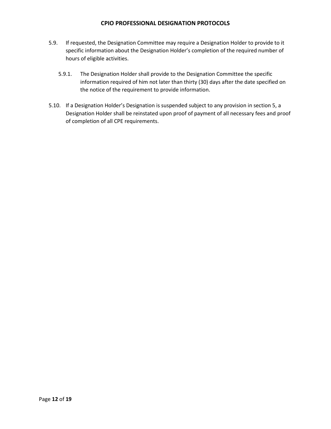- 5.9. If requested, the Designation Committee may require a Designation Holder to provide to it specific information about the Designation Holder's completion of the required number of hours of eligible activities.
	- 5.9.1. The Designation Holder shall provide to the Designation Committee the specific information required of him not later than thirty (30) days after the date specified on the notice of the requirement to provide information.
- 5.10. If a Designation Holder's Designation is suspended subject to any provision in section 5, a Designation Holder shall be reinstated upon proof of payment of all necessary fees and proof of completion of all CPE requirements.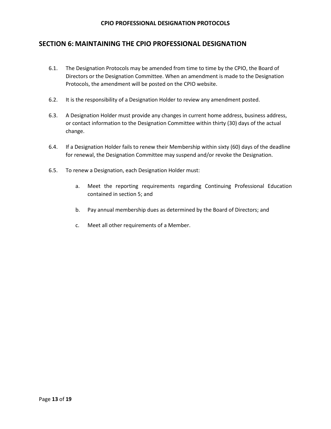# **SECTION 6: MAINTAINING THE CPIO PROFESSIONAL DESIGNATION**

- 6.1. The Designation Protocols may be amended from time to time by the CPIO, the Board of Directors or the Designation Committee. When an amendment is made to the Designation Protocols, the amendment will be posted on the CPIO website.
- 6.2. It is the responsibility of a Designation Holder to review any amendment posted.
- 6.3. A Designation Holder must provide any changes in current home address, business address, or contact information to the Designation Committee within thirty (30) days of the actual change.
- 6.4. If a Designation Holder fails to renew their Membership within sixty (60) days of the deadline for renewal, the Designation Committee may suspend and/or revoke the Designation.
- 6.5. To renew a Designation, each Designation Holder must:
	- a. Meet the reporting requirements regarding Continuing Professional Education contained in section 5; and
	- b. Pay annual membership dues as determined by the Board of Directors; and
	- c. Meet all other requirements of a Member.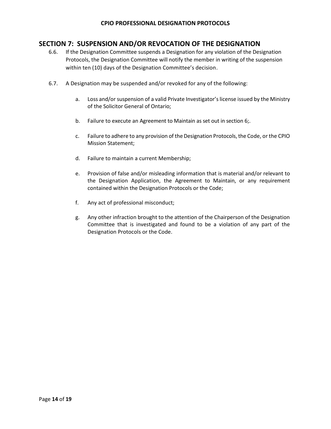# **SECTION 7: SUSPENSION AND/OR REVOCATION OF THE DESIGNATION**

- 6.6. If the Designation Committee suspends a Designation for any violation of the Designation Protocols, the Designation Committee will notify the member in writing of the suspension within ten (10) days of the Designation Committee's decision.
- 6.7. A Designation may be suspended and/or revoked for any of the following:
	- a. Loss and/or suspension of a valid Private Investigator's license issued by the Ministry of the Solicitor General of Ontario;
	- b. Failure to execute an Agreement to Maintain as set out in section 6;*.*
	- c. Failure to adhere to any provision of the Designation Protocols,the Code, or the CPIO Mission Statement;
	- d. Failure to maintain a current Membership;
	- e. Provision of false and/or misleading information that is material and/or relevant to the Designation Application, the Agreement to Maintain, or any requirement contained within the Designation Protocols or the Code;
	- f. Any act of professional misconduct;
	- g. Any other infraction brought to the attention of the Chairperson of the Designation Committee that is investigated and found to be a violation of any part of the Designation Protocols or the Code.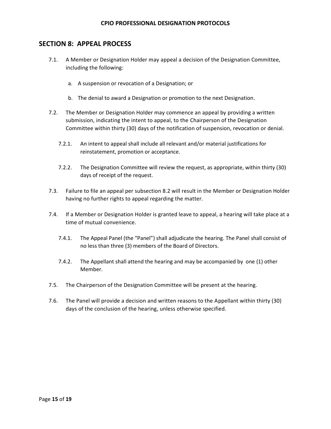### **SECTION 8: APPEAL PROCESS**

- 7.1. A Member or Designation Holder may appeal a decision of the Designation Committee, including the following:
	- a. A suspension or revocation of a Designation; or
	- b. The denial to award a Designation or promotion to the next Designation.
- 7.2. The Member or Designation Holder may commence an appeal by providing a written submission, indicating the intent to appeal, to the Chairperson of the Designation Committee within thirty (30) days of the notification of suspension, revocation or denial.
	- 7.2.1. An intent to appeal shall include all relevant and/or material justifications for reinstatement, promotion or acceptance.
	- 7.2.2. The Designation Committee will review the request, as appropriate, within thirty (30) days of receipt of the request.
- 7.3. Failure to file an appeal per subsection 8.2 will result in the Member or Designation Holder having no further rights to appeal regarding the matter.
- 7.4. If a Member or Designation Holder is granted leave to appeal, a hearing will take place at a time of mutual convenience.
	- 7.4.1. The Appeal Panel (the "Panel") shall adjudicate the hearing. The Panel shall consist of no less than three (3) members of the Board of Directors.
	- 7.4.2. The Appellant shall attend the hearing and may be accompanied by one (1) other Member.
- 7.5. The Chairperson of the Designation Committee will be present at the hearing.
- 7.6. The Panel will provide a decision and written reasons to the Appellant within thirty (30) days of the conclusion of the hearing, unless otherwise specified.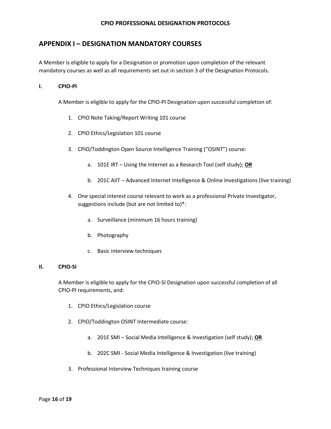## **APPENDIX I – DESIGNATION MANDATORY COURSES**

A Member is eligible to apply for a Designation or promotion upon completion of the relevant mandatory courses as well as all requirements set out in section 3 of the Designation Protocols.

#### **I. CPIO-PI**

A Member is eligible to apply for the CPIO-PI Designation upon successful completion of:

- 1. CPIO Note Taking/Report Writing 101 course
- 2. CPIO Ethics/Legislation 101 course
- 3. CPIO/Toddington Open Source Intelligence Training ("OSINT") course:
	- a. 101E IRT Using the Internet as a Research Tool (self study); **OR**
	- b. 201C AIIT Advanced Internet Intelligence & Online Investigations (live training)
- 4. One special interest course relevant to work as a professional Private Investigator, suggestions include (but are not limited to)\*:
	- a. Surveillance (minimum 16 hours training)
	- b. Photography
	- c. Basic interview techniques

#### **II. CPIO-SI**

A Member is eligible to apply for the CPIO-SI Designation upon successful completion of all CPIO-PI requirements, and:

- 1. CPIO Ethics/Legislation course
- 2. CPIO/Toddington OSINT Intermediate course:
	- a. 201E SMI Social Media Intelligence & Investigation (self study); **OR**
	- b. 202C SMI Social Media Intelligence & Investigation (live training)
- 3. Professional Interview Techniques training course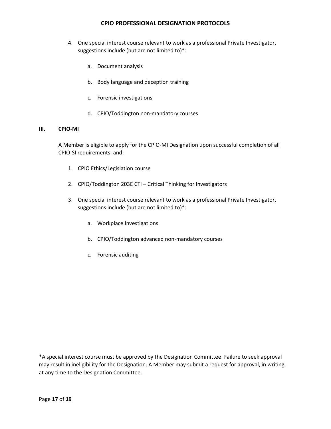- 4. One special interest course relevant to work as a professional Private Investigator, suggestions include (but are not limited to)\*:
	- a. Document analysis
	- b. Body language and deception training
	- c. Forensic investigations
	- d. CPIO/Toddington non-mandatory courses

#### **III. CPIO-MI**

A Member is eligible to apply for the CPIO-MI Designation upon successful completion of all CPIO-SI requirements, and:

- 1. CPIO Ethics/Legislation course
- 2. CPIO/Toddington 203E CTI Critical Thinking for Investigators
- 3. One special interest course relevant to work as a professional Private Investigator, suggestions include (but are not limited to)\*:
	- a. Workplace Investigations
	- b. CPIO/Toddington advanced non-mandatory courses
	- c. Forensic auditing

\*A special interest course must be approved by the Designation Committee. Failure to seek approval may result in ineligibility for the Designation. A Member may submit a request for approval, in writing, at any time to the Designation Committee.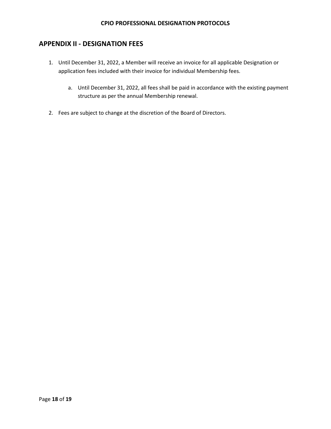# **APPENDIX II - DESIGNATION FEES**

- 1. Until December 31, 2022, a Member will receive an invoice for all applicable Designation or application fees included with their invoice for individual Membership fees.
	- a. Until December 31, 2022, all fees shall be paid in accordance with the existing payment structure as per the annual Membership renewal.
- 2. Fees are subject to change at the discretion of the Board of Directors.